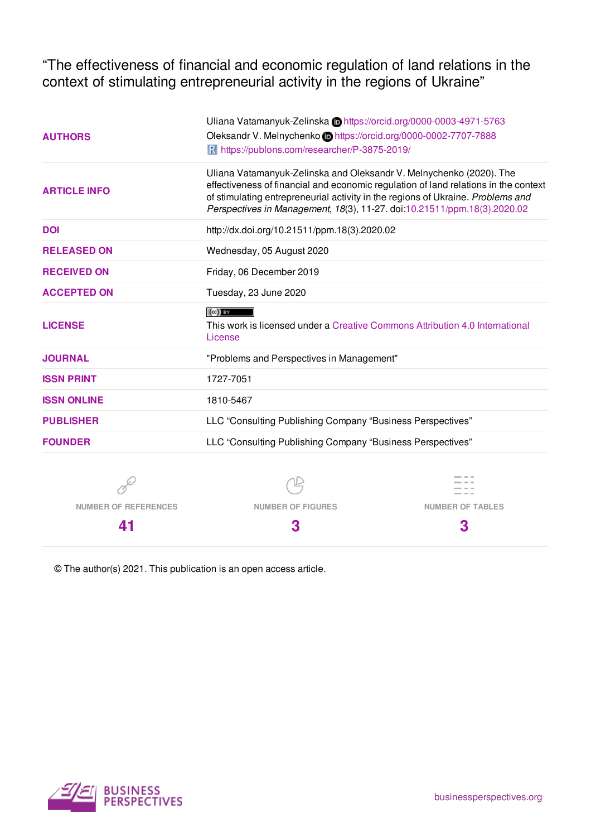"The effectiveness of financial and economic regulation of land relations in the context of stimulating entrepreneurial activity in the regions of Ukraine"

|                     | Uliana Vatamanyuk-Zelinska Dhttps://orcid.org/0000-0003-4971-5763                                                                                                                                                                                                                                                         |
|---------------------|---------------------------------------------------------------------------------------------------------------------------------------------------------------------------------------------------------------------------------------------------------------------------------------------------------------------------|
| <b>AUTHORS</b>      | Oleksandr V. Melnychenko in https://orcid.org/0000-0002-7707-7888                                                                                                                                                                                                                                                         |
|                     | R https://publons.com/researcher/P-3875-2019/                                                                                                                                                                                                                                                                             |
| <b>ARTICLE INFO</b> | Uliana Vatamanyuk-Zelinska and Oleksandr V. Melnychenko (2020). The<br>effectiveness of financial and economic regulation of land relations in the context<br>of stimulating entrepreneurial activity in the regions of Ukraine. Problems and<br>Perspectives in Management, 18(3), 11-27. doi:10.21511/ppm.18(3).2020.02 |
| <b>DOI</b>          | http://dx.doi.org/10.21511/ppm.18(3).2020.02                                                                                                                                                                                                                                                                              |
| <b>RELEASED ON</b>  | Wednesday, 05 August 2020                                                                                                                                                                                                                                                                                                 |
| <b>RECEIVED ON</b>  | Friday, 06 December 2019                                                                                                                                                                                                                                                                                                  |
| <b>ACCEPTED ON</b>  | Tuesday, 23 June 2020                                                                                                                                                                                                                                                                                                     |
|                     | $(cc)$ BY                                                                                                                                                                                                                                                                                                                 |
| <b>LICENSE</b>      | This work is licensed under a Creative Commons Attribution 4.0 International<br>License                                                                                                                                                                                                                                   |
| <b>JOURNAL</b>      | "Problems and Perspectives in Management"                                                                                                                                                                                                                                                                                 |
| <b>ISSN PRINT</b>   | 1727-7051                                                                                                                                                                                                                                                                                                                 |
| <b>ISSN ONLINE</b>  | 1810-5467                                                                                                                                                                                                                                                                                                                 |
| <b>PUBLISHER</b>    | LLC "Consulting Publishing Company "Business Perspectives"                                                                                                                                                                                                                                                                |
| <b>FOUNDER</b>      | LLC "Consulting Publishing Company "Business Perspectives"                                                                                                                                                                                                                                                                |
|                     |                                                                                                                                                                                                                                                                                                                           |

Ò **NUMBER OF REFERENCES**

**41**

**NUMBER OF FIGURES**

≌

**3**

 $\frac{1}{2}$ **NUMBER OF TABLES**

**3**

© The author(s) 2021. This publication is an open access article.

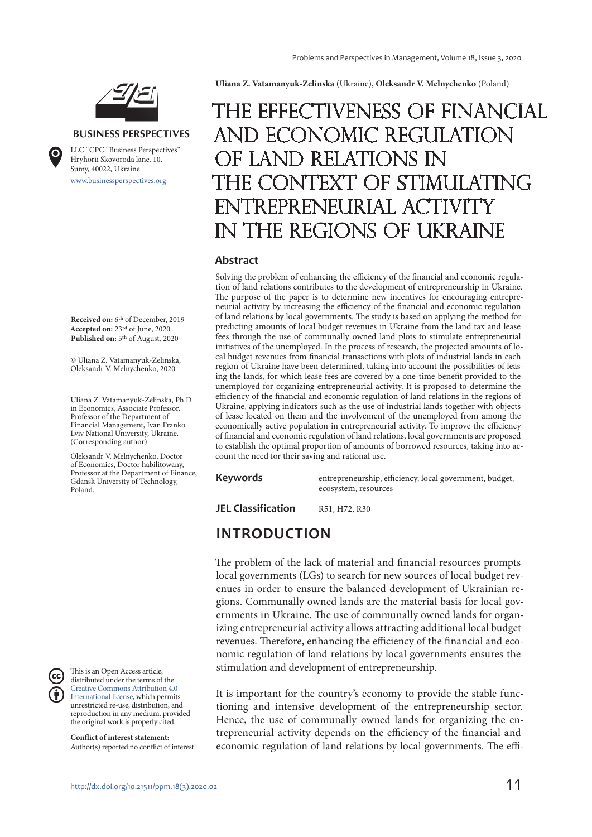

#### **BUSINESS PERSPECTIVES**



www.businessperspectives.org LLC "СPС "Business Perspectives" Hryhorii Skovoroda lane, 10, Sumy, 40022, Ukraine

**Received on:** 6th of December, 2019 **Accepted on:** 23rd of June, 2020 Published on: 5<sup>th</sup> of August, 2020

© Uliana Z. Vatamanyuk-Zelinska, Oleksandr V. Melnychenko, 2020

Uliana Z. Vatamanyuk-Zelinska, Ph.D. in Economics, Associate Professor, Professor of the Department of Financial Management, Ivan Franko Lviv National University, Ukraine. (Corresponding author)

Oleksandr V. Melnychenko, Doctor of Economics, Doctor habilitowany, Professor at the Department of Finance, Gdansk University of Technology, Poland.



This is an Open Access article, distributed under the terms of the Creative Commons Attribution 4.0 International license, which permits unrestricted re-use, distribution, and reproduction in any medium, provided the original work is properly cited.

**Conflict of interest statement:**  Author(s) reported no conflict of interest **Uliana Z. Vatamanyuk-Zelinska** (Ukraine), **Oleksandr V. Melnychenko** (Poland)

# The effectiveness of financial and economic regulation F LAND RELATIONS IN CONTEXT OF STIMULATING TREPRENEURIAL ACTIVITY THE REGIONS OF UKRAINE

#### **Abstract**

Solving the problem of enhancing the efficiency of the financial and economic regulation of land relations contributes to the development of entrepreneurship in Ukraine. The purpose of the paper is to determine new incentives for encouraging entrepreneurial activity by increasing the efficiency of the financial and economic regulation of land relations by local governments. The study is based on applying the method for predicting amounts of local budget revenues in Ukraine from the land tax and lease fees through the use of communally owned land plots to stimulate entrepreneurial initiatives of the unemployed. In the process of research, the projected amounts of local budget revenues from financial transactions with plots of industrial lands in each region of Ukraine have been determined, taking into account the possibilities of leasing the lands, for which lease fees are covered by a one-time benefit provided to the unemployed for organizing entrepreneurial activity. It is proposed to determine the efficiency of the financial and economic regulation of land relations in the regions of Ukraine, applying indicators such as the use of industrial lands together with objects of lease located on them and the involvement of the unemployed from among the economically active population in entrepreneurial activity. To improve the efficiency of financial and economic regulation of land relations, local governments are proposed to establish the optimal proportion of amounts of borrowed resources, taking into account the need for their saving and rational use.

**Keywords** entrepreneurship, efficiency, local government, budget, ecosystem, resources

**JEL Classification** R51, H72, R30

#### **INTRODUCTION**

The problem of the lack of material and financial resources prompts local governments (LGs) to search for new sources of local budget revenues in order to ensure the balanced development of Ukrainian regions. Communally owned lands are the material basis for local governments in Ukraine. The use of communally owned lands for organizing entrepreneurial activity allows attracting additional local budget revenues. Therefore, enhancing the efficiency of the financial and economic regulation of land relations by local governments ensures the stimulation and development of entrepreneurship.

It is important for the country's economy to provide the stable functioning and intensive development of the entrepreneurship sector. Hence, the use of communally owned lands for organizing the entrepreneurial activity depends on the efficiency of the financial and economic regulation of land relations by local governments. The effi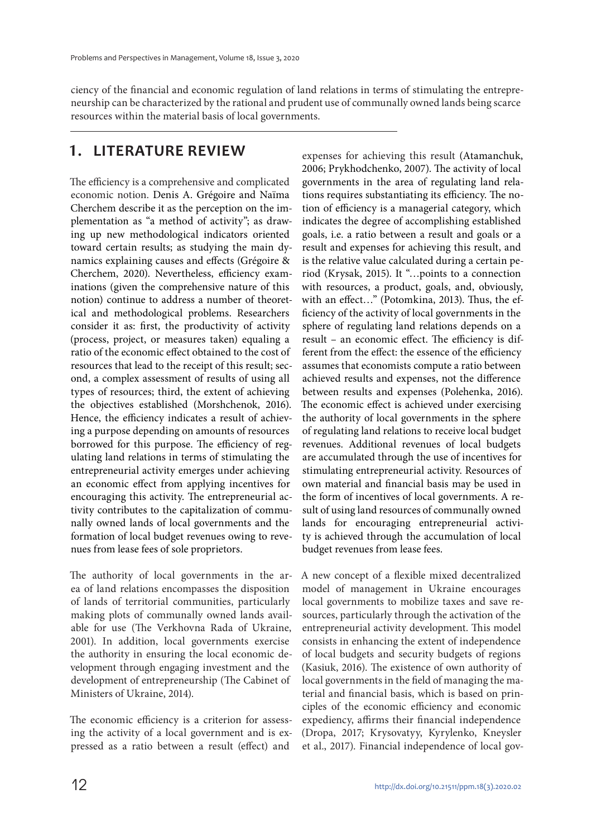ciency of the financial and economic regulation of land relations in terms of stimulating the entrepreneurship can be characterized by the rational and prudent use of communally owned lands being scarce resources within the material basis of local governments.

#### **1. LITERATURE REVIEW**

The efficiency is a comprehensive and complicated economic notion. Denis A. Grégoire and Naïma Cherchem describe it as the perception on the implementation as "a method of activity"; as drawing up new methodological indicators oriented toward certain results; as studying the main dynamics explaining causes and effects (Grégoire & Cherchem, 2020). Nevertheless, efficiency examinations (given the comprehensive nature of this notion) continue to address a number of theoretical and methodological problems. Researchers consider it as: first, the productivity of activity (process, project, or measures taken) equaling a ratio of the economic effect obtained to the cost of resources that lead to the receipt of this result; second, a complex assessment of results of using all types of resources; third, the extent of achieving the objectives established (Morshchenok, 2016). Hence, the efficiency indicates a result of achieving a purpose depending on amounts of resources borrowed for this purpose. The efficiency of regulating land relations in terms of stimulating the entrepreneurial activity emerges under achieving an economic effect from applying incentives for encouraging this activity. The entrepreneurial activity contributes to the capitalization of communally owned lands of local governments and the formation of local budget revenues owing to revenues from lease fees of sole proprietors.

The authority of local governments in the area of land relations encompasses the disposition of lands of territorial communities, particularly making plots of communally owned lands available for use (The Verkhovna Rada of Ukraine, 2001). In addition, local governments exercise the authority in ensuring the local economic development through engaging investment and the development of entrepreneurship (The Cabinet of Ministers of Ukraine, 2014).

The economic efficiency is a criterion for assessing the activity of a local government and is expressed as a ratio between a result (effect) and

expenses for achieving this result (Atamanchuk, 2006; Prykhodchenko, 2007). The activity of local governments in the area of regulating land relations requires substantiating its efficiency. The notion of efficiency is a managerial category, which indicates the degree of accomplishing established goals, i.e. a ratio between a result and goals or a result and expenses for achieving this result, and is the relative value calculated during a certain period (Krysak, 2015). It "…points to a connection with resources, a product, goals, and, obviously, with an effect…" (Potomkina, 2013). Thus, the efficiency of the activity of local governments in the sphere of regulating land relations depends on a result – an economic effect. The efficiency is different from the effect: the essence of the efficiency assumes that economists compute a ratio between achieved results and expenses, not the difference between results and expenses (Polehenka, 2016). The economic effect is achieved under exercising the authority of local governments in the sphere of regulating land relations to receive local budget revenues. Additional revenues of local budgets are accumulated through the use of incentives for stimulating entrepreneurial activity. Resources of own material and financial basis may be used in the form of incentives of local governments. A result of using land resources of communally owned lands for encouraging entrepreneurial activity is achieved through the accumulation of local budget revenues from lease fees.

A new concept of a flexible mixed decentralized model of management in Ukraine encourages local governments to mobilize taxes and save resources, particularly through the activation of the entrepreneurial activity development. This model consists in enhancing the extent of independence of local budgets and security budgets of regions (Kasiuk, 2016). The existence of own authority of local governments in the field of managing the material and financial basis, which is based on principles of the economic efficiency and economic expediency, affirms their financial independence (Dropa, 2017; Krysovatyy, Kyrylenko, Kneysler et al., 2017). Financial independence of local gov-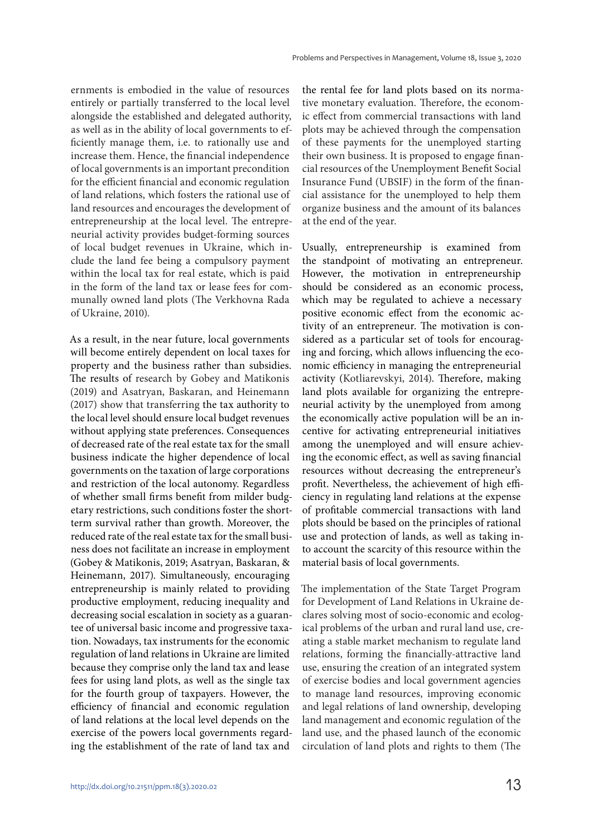ernments is embodied in the value of resources entirely or partially transferred to the local level alongside the established and delegated authority, as well as in the ability of local governments to efficiently manage them, i.e. to rationally use and increase them. Hence, the financial independence of local governments is an important precondition for the efficient financial and economic regulation of land relations, which fosters the rational use of land resources and encourages the development of entrepreneurship at the local level. The entrepreneurial activity provides budget-forming sources of local budget revenues in Ukraine, which include the land fee being a compulsory payment within the local tax for real estate, which is paid in the form of the land tax or lease fees for communally owned land plots (The Verkhovna Rada of Ukraine, 2010).

As a result, in the near future, local governments will become entirely dependent on local taxes for property and the business rather than subsidies. The results of research by Gobey and Matikonis (2019) and Asatryan, Baskaran, and Heinemann (2017) show that transferring the tax authority to the local level should ensure local budget revenues without applying state preferences. Consequences of decreased rate of the real estate tax for the small business indicate the higher dependence of local governments on the taxation of large corporations and restriction of the local autonomy. Regardless of whether small firms benefit from milder budgetary restrictions, such conditions foster the shortterm survival rather than growth. Moreover, the reduced rate of the real estate tax for the small business does not facilitate an increase in employment (Gobey & Matikonis, 2019; Asatryan, Baskaran, & Heinemann, 2017). Simultaneously, encouraging entrepreneurship is mainly related to providing productive employment, reducing inequality and decreasing social escalation in society as a guarantee of universal basic income and progressive taxation. Nowadays, tax instruments for the economic regulation of land relations in Ukraine are limited because they comprise only the land tax and lease fees for using land plots, as well as the single tax for the fourth group of taxpayers. However, the efficiency of financial and economic regulation of land relations at the local level depends on the exercise of the powers local governments regarding the establishment of the rate of land tax and

the rental fee for land plots based on its normative monetary evaluation. Therefore, the economic effect from commercial transactions with land plots may be achieved through the compensation of these payments for the unemployed starting their own business. It is proposed to engage financial resources of the Unemployment Benefit Social Insurance Fund (UBSIF) in the form of the financial assistance for the unemployed to help them organize business and the amount of its balances at the end of the year.

Usually, entrepreneurship is examined from the standpoint of motivating an entrepreneur. However, the motivation in entrepreneurship should be considered as an economic process, which may be regulated to achieve a necessary positive economic effect from the economic activity of an entrepreneur. The motivation is considered as a particular set of tools for encouraging and forcing, which allows influencing the economic efficiency in managing the entrepreneurial activity (Kotliarevskyi, 2014). Therefore, making land plots available for organizing the entrepreneurial activity by the unemployed from among the economically active population will be an incentive for activating entrepreneurial initiatives among the unemployed and will ensure achieving the economic effect, as well as saving financial resources without decreasing the entrepreneur's profit. Nevertheless, the achievement of high efficiency in regulating land relations at the expense of profitable commercial transactions with land plots should be based on the principles of rational use and protection of lands, as well as taking into account the scarcity of this resource within the material basis of local governments.

The implementation of the State Target Program for Development of Land Relations in Ukraine declares solving most of socio-economic and ecological problems of the urban and rural land use, creating a stable market mechanism to regulate land relations, forming the financially-attractive land use, ensuring the creation of an integrated system of exercise bodies and local government agencies to manage land resources, improving economic and legal relations of land ownership, developing land management and economic regulation of the land use, and the phased launch of the economic circulation of land plots and rights to them (The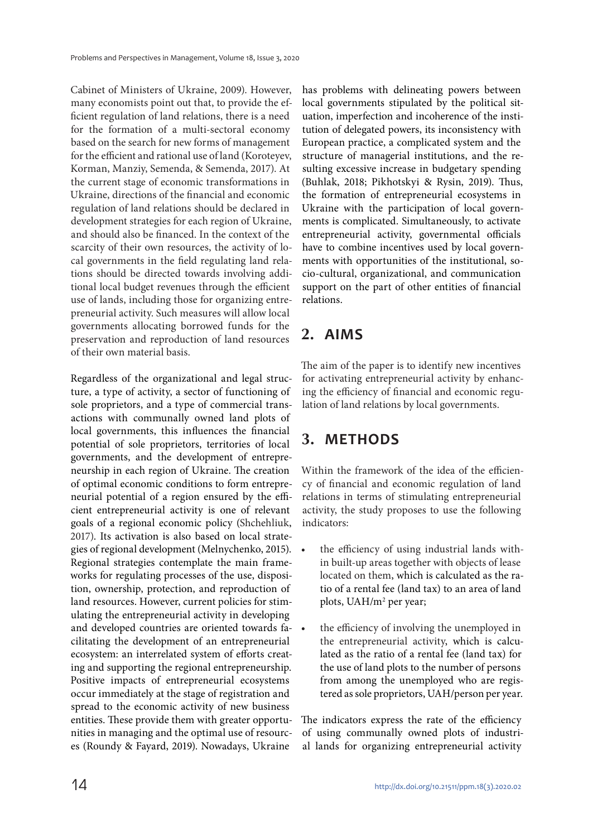Cabinet of Ministers of Ukraine, 2009). However, many economists point out that, to provide the efficient regulation of land relations, there is a need for the formation of a multi-sectoral economy based on the search for new forms of management for the efficient and rational use of land (Koroteyev, Korman, Manziy, Semenda, & Semenda, 2017). At the current stage of economic transformations in Ukraine, directions of the financial and economic regulation of land relations should be declared in development strategies for each region of Ukraine, and should also be financed. In the context of the scarcity of their own resources, the activity of local governments in the field regulating land relations should be directed towards involving additional local budget revenues through the efficient use of lands, including those for organizing entrepreneurial activity. Such measures will allow local governments allocating borrowed funds for the preservation and reproduction of land resources of their own material basis.

Regardless of the organizational and legal structure, a type of activity, a sector of functioning of sole proprietors, and a type of commercial transactions with communally owned land plots of local governments, this influences the financial potential of sole proprietors, territories of local governments, and the development of entrepreneurship in each region of Ukraine. The creation of optimal economic conditions to form entrepreneurial potential of a region ensured by the efficient entrepreneurial activity is one of relevant goals of a regional economic policy (Shchehliuk, 2017). Its activation is also based on local strategies of regional development (Melnychenko, 2015). Regional strategies contemplate the main frameworks for regulating processes of the use, disposition, ownership, protection, and reproduction of land resources. However, current policies for stimulating the entrepreneurial activity in developing and developed countries are oriented towards facilitating the development of an entrepreneurial ecosystem: an interrelated system of efforts creating and supporting the regional entrepreneurship. Positive impacts of entrepreneurial ecosystems occur immediately at the stage of registration and spread to the economic activity of new business entities. These provide them with greater opportunities in managing and the optimal use of resources (Roundy & Fayard, 2019). Nowadays, Ukraine

has problems with delineating powers between local governments stipulated by the political situation, imperfection and incoherence of the institution of delegated powers, its inconsistency with European practice, a complicated system and the structure of managerial institutions, and the resulting excessive increase in budgetary spending (Buhlak, 2018; Pikhotskyi & Rysin, 2019). Thus, the formation of entrepreneurial ecosystems in Ukraine with the participation of local governments is complicated. Simultaneously, to activate entrepreneurial activity, governmental officials have to combine incentives used by local governments with opportunities of the institutional, socio-cultural, organizational, and communication support on the part of other entities of financial relations.

## **2. AIMS**

The aim of the paper is to identify new incentives for activating entrepreneurial activity by enhancing the efficiency of financial and economic regulation of land relations by local governments.

## **3. METHODS**

Within the framework of the idea of the efficiency of financial and economic regulation of land relations in terms of stimulating entrepreneurial activity, the study proposes to use the following indicators:

- the efficiency of using industrial lands within built-up areas together with objects of lease located on them, which is calculated as the ratio of a rental fee (land tax) to an area of land plots, UAH/m<sup>2</sup> per year;
- the efficiency of involving the unemployed in the entrepreneurial activity, which is calculated as the ratio of a rental fee (land tax) for the use of land plots to the number of persons from among the unemployed who are registered as sole proprietors, UAH/person per year.

The indicators express the rate of the efficiency of using communally owned plots of industrial lands for organizing entrepreneurial activity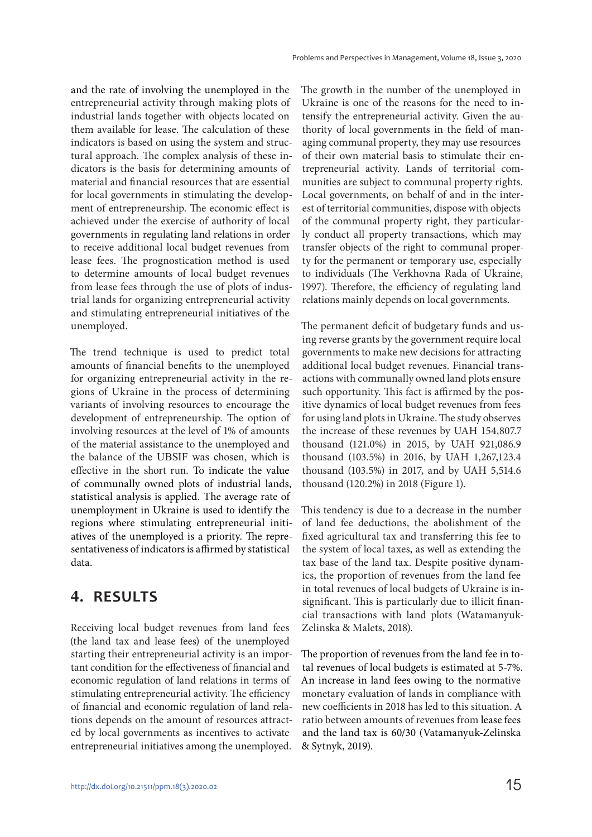and the rate of involving the unemployed in the entrepreneurial activity through making plots of industrial lands together with objects located on them available for lease. The calculation of these indicators is based on using the system and structural approach. The complex analysis of these indicators is the basis for determining amounts of material and financial resources that are essential for local governments in stimulating the development of entrepreneurship. The economic effect is achieved under the exercise of authority of local governments in regulating land relations in order to receive additional local budget revenues from lease fees. The prognostication method is used to determine amounts of local budget revenues from lease fees through the use of plots of industrial lands for organizing entrepreneurial activity and stimulating entrepreneurial initiatives of the unemployed.

The trend technique is used to predict total amounts of financial benefits to the unemployed for organizing entrepreneurial activity in the regions of Ukraine in the process of determining variants of involving resources to encourage the development of entrepreneurship. The option of involving resources at the level of 1% of amounts of the material assistance to the unemployed and the balance of the UBSIF was chosen, which is effective in the short run. To indicate the value of communally owned plots of industrial lands, statistical analysis is applied. The average rate of unemployment in Ukraine is used to identify the regions where stimulating entrepreneurial initiatives of the unemployed is a priority. The representativeness of indicators is affirmed by statistical data.

### **4. RESULTS**

Receiving local budget revenues from land fees (the land tax and lease fees) of the unemployed starting their entrepreneurial activity is an important condition for the effectiveness of financial and economic regulation of land relations in terms of stimulating entrepreneurial activity. The efficiency of financial and economic regulation of land relations depends on the amount of resources attracted by local governments as incentives to activate entrepreneurial initiatives among the unemployed. The growth in the number of the unemployed in Ukraine is one of the reasons for the need to intensify the entrepreneurial activity. Given the authority of local governments in the field of managing communal property, they may use resources of their own material basis to stimulate their entrepreneurial activity. Lands of territorial communities are subject to communal property rights. Local governments, on behalf of and in the interest of territorial communities, dispose with objects of the communal property right, they particularly conduct all property transactions, which may transfer objects of the right to communal property for the permanent or temporary use, especially to individuals (The Verkhovna Rada of Ukraine, 1997). Therefore, the efficiency of regulating land relations mainly depends on local governments.

The permanent deficit of budgetary funds and using reverse grants by the government require local governments to make new decisions for attracting additional local budget revenues. Financial transactions with communally owned land plots ensure such opportunity. This fact is affirmed by the positive dynamics of local budget revenues from fees for using land plots in Ukraine. The study observes the increase of these revenues by UAH 154,807.7 thousand (121.0%) in 2015, by UAH 921,086.9 thousand (103.5%) in 2016, by UAH 1,267,123.4 thousand (103.5%) in 2017, and by UAH 5,514.6 thousand (120.2%) in 2018 (Figure 1).

This tendency is due to a decrease in the number of land fee deductions, the abolishment of the fixed agricultural tax and transferring this fee to the system of local taxes, as well as extending the tax base of the land tax. Despite positive dynamics, the proportion of revenues from the land fee in total revenues of local budgets of Ukraine is insignificant. This is particularly due to illicit financial transactions with land plots (Watamanyuk-Zelinska & Malets, 2018).

The proportion of revenues from the land fee in total revenues of local budgets is estimated at 5-7%. An increase in land fees owing to the normative monetary evaluation of lands in compliance with new coefficients in 2018 has led to this situation. A ratio between amounts of revenues from lease fees and the land tax is 60/30 (Vatamanyuk-Zelinska & Sytnyk, 2019).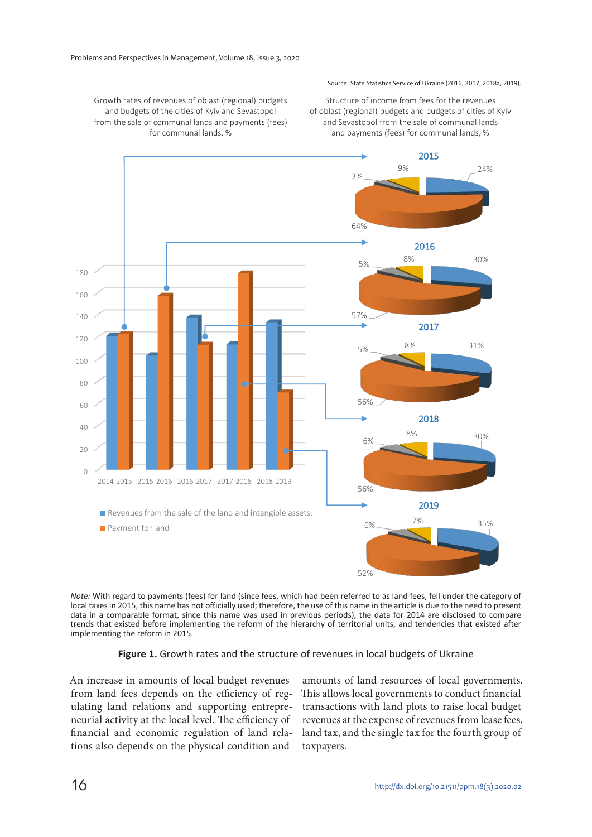#### Source: State Statistics Service of Ukraine (2016, 2017, 2018a, 2019).

Structure of income from fees for the revenues of oblast (regional) budgets and budgets of cities of Kyiv and Sevastopol from the sale of communal lands and payments (fees) for communal lands, %

Growth rates of revenues of oblast (regional) budgets and budgets of the cities of Kyiv and Sevastopol from the sale of communal lands and payments (fees) for communal lands, %



*Note:* With regard to payments (fees) for land (since fees, which had been referred to as land fees, fell under the category of local taxes in 2015, this name has not officially used; therefore, the use of this name in the article is due to the need to present data in a comparable format, since this name was used in previous periods), the data for 2014 are disclosed to compare trends that existed before implementing the reform of the hierarchy of territorial units, and tendencies that existed after implementing the reform in 2015.

#### **Figure 1.** Growth rates and the structure of revenues in local budgets of Ukraine

An increase in amounts of local budget revenues from land fees depends on the efficiency of regulating land relations and supporting entrepreneurial activity at the local level. The efficiency of financial and economic regulation of land relations also depends on the physical condition and

amounts of land resources of local governments. This allows local governments to conduct financial transactions with land plots to raise local budget revenues at the expense of revenues from lease fees, land tax, and the single tax for the fourth group of taxpayers.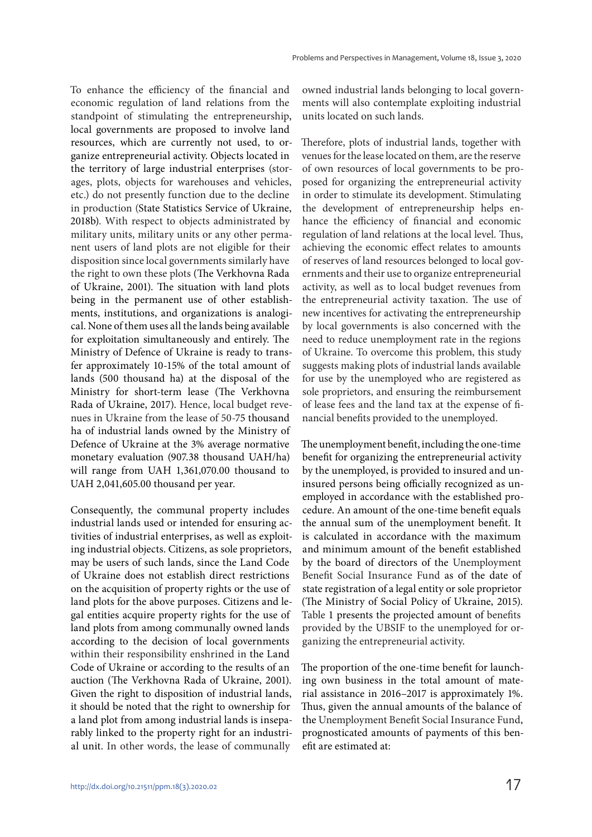To enhance the efficiency of the financial and economic regulation of land relations from the standpoint of stimulating the entrepreneurship, local governments are proposed to involve land resources, which are currently not used, to organize entrepreneurial activity. Objects located in the territory of large industrial enterprises (storages, plots, objects for warehouses and vehicles, etc.) do not presently function due to the decline in production (State Statistics Service of Ukraine, 2018b). With respect to objects administrated by military units, military units or any other permanent users of land plots are not eligible for their disposition since local governments similarly have the right to own these plots (The Verkhovna Rada of Ukraine, 2001). The situation with land plots being in the permanent use of other establishments, institutions, and organizations is analogical. None of them uses all the lands being available for exploitation simultaneously and entirely. The Ministry of Defence of Ukraine is ready to transfer approximately 10-15% of the total amount of lands (500 thousand ha) at the disposal of the Ministry for short-term lease (The Verkhovna Rada of Ukraine, 2017). Hence, local budget revenues in Ukraine from the lease of 50-75 thousand ha of industrial lands owned by the Ministry of Defence of Ukraine at the 3% average normative monetary evaluation (907.38 thousand UAH/ha) will range from UAH 1,361,070.00 thousand to UAH 2,041,605.00 thousand per year.

Consequently, the communal property includes industrial lands used or intended for ensuring activities of industrial enterprises, as well as exploiting industrial objects. Citizens, as sole proprietors, may be users of such lands, since the Land Code of Ukraine does not establish direct restrictions on the acquisition of property rights or the use of land plots for the above purposes. Citizens and legal entities acquire property rights for the use of land plots from among communally owned lands according to the decision of local governments within their responsibility enshrined in the Land Code of Ukraine or according to the results of an auction (The Verkhovna Rada of Ukraine, 2001). Given the right to disposition of industrial lands, it should be noted that the right to ownership for a land plot from among industrial lands is inseparably linked to the property right for an industrial unit. In other words, the lease of communally

owned industrial lands belonging to local governments will also contemplate exploiting industrial units located on such lands.

Therefore, plots of industrial lands, together with venues for the lease located on them, are the reserve of own resources of local governments to be proposed for organizing the entrepreneurial activity in order to stimulate its development. Stimulating the development of entrepreneurship helps enhance the efficiency of financial and economic regulation of land relations at the local level. Thus, achieving the economic effect relates to amounts of reserves of land resources belonged to local governments and their use to organize entrepreneurial activity, as well as to local budget revenues from the entrepreneurial activity taxation. The use of new incentives for activating the entrepreneurship by local governments is also concerned with the need to reduce unemployment rate in the regions of Ukraine. To overcome this problem, this study suggests making plots of industrial lands available for use by the unemployed who are registered as sole proprietors, and ensuring the reimbursement of lease fees and the land tax at the expense of financial benefits provided to the unemployed.

The unemployment benefit, including the one-time benefit for organizing the entrepreneurial activity by the unemployed, is provided to insured and uninsured persons being officially recognized as unemployed in accordance with the established procedure. An amount of the one-time benefit equals the annual sum of the unemployment benefit. It is calculated in accordance with the maximum and minimum amount of the benefit established by the board of directors of the Unemployment Benefit Social Insurance Fund as of the date of state registration of a legal entity or sole proprietor (The Ministry of Social Policy of Ukraine, 2015). Table 1 presents the projected amount of benefits provided by the UBSIF to the unemployed for organizing the entrepreneurial activity.

The proportion of the one-time benefit for launching own business in the total amount of material assistance in 2016–2017 is approximately 1%. Thus, given the annual amounts of the balance of the Unemployment Benefit Social Insurance Fund, prognosticated amounts of payments of this benefit are estimated at: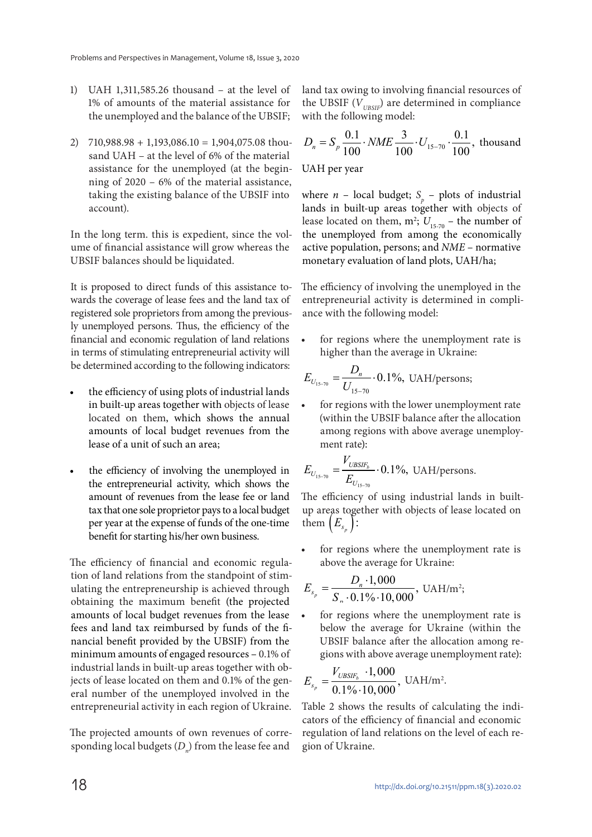- 1) UAH 1,311,585.26 thousand at the level of 1% of amounts of the material assistance for the unemployed and the balance of the UBSIF;
- 2)  $710,988.98 + 1,193,086.10 = 1,904,075.08$  thousand UAH – at the level of 6% of the material assistance for the unemployed (at the beginning of 2020 – 6% of the material assistance, taking the existing balance of the UBSIF into account).

In the long term. this is expedient, since the volume of financial assistance will grow whereas the UBSIF balances should be liquidated.

It is proposed to direct funds of this assistance towards the coverage of lease fees and the land tax of registered sole proprietors from among the previously unemployed persons. Thus, the efficiency of the financial and economic regulation of land relations in terms of stimulating entrepreneurial activity will be determined according to the following indicators:

- the efficiency of using plots of industrial lands in built-up areas together with objects of lease located on them, which shows the annual amounts of local budget revenues from the lease of a unit of such an area;
- the efficiency of involving the unemployed in the entrepreneurial activity, which shows the amount of revenues from the lease fee or land tax that one sole proprietor pays to a local budget per year at the expense of funds of the one-time benefit for starting his/her own business.

The efficiency of financial and economic regulation of land relations from the standpoint of stimulating the entrepreneurship is achieved through obtaining the maximum benefit (the projected amounts of local budget revenues from the lease fees and land tax reimbursed by funds of the financial benefit provided by the UBSIF) from the minimum amounts of engaged resources – 0.1% of industrial lands in built-up areas together with objects of lease located on them and 0.1% of the general number of the unemployed involved in the entrepreneurial activity in each region of Ukraine.

The projected amounts of own revenues of corresponding local budgets  $(D<sub>n</sub>)$  from the lease fee and land tax owing to involving financial resources of the UBSIF  $(V_{\text{unsy})}$  are determined in compliance with the following model:

$$
D_n = S_p \frac{0.1}{100} \cdot NME \frac{3}{100} \cdot U_{15-70} \cdot \frac{0.1}{100}
$$
, thousand

UAH per year

where *n* – local budget;  $S_p$  – plots of industrial lands in built-up areas together with objects of lease located on them,  $m^2$ ;  $U_{15-70}$  – the number of the unemployed from among the economically active population, persons; and NME – normative monetary evaluation of land plots, UAH/ha;

The efficiency of involving the unemployed in the entrepreneurial activity is determined in compliance with the following model:

for regions where the unemployment rate is higher than the average in Ukraine:

$$
E_{U_{15-70}} = \frac{D_n}{U_{15-70}} \cdot 0.1\%, \text{ UAH/persons};
$$

• for regions with the lower unemployment rate (within the UBSIF balance after the allocation among regions with above average unemployment rate):

$$
E_{U_{15-70}} = \frac{V_{UBSIF_b}}{E_{U_{15-70}}} \cdot 0.1\%, \text{ UAH/persons.}
$$

The efficiency of using industrial lands in builtup areas together with objects of lease located on  $\text{then } (E_{s_p})$ :

for regions where the unemployment rate is above the average for Ukraine:

$$
E_{s_p} = \frac{D_n \cdot 1,000}{S_n \cdot 0.1\% \cdot 10,000}, \text{ UAH/m}^2;
$$

for regions where the unemployment rate is below the average for Ukraine (within the UBSIF balance after the allocation among regions with above average unemployment rate):

$$
E_{s_p} = \frac{V_{UBSIF_b} \cdot 1,000}{0.1\% \cdot 10,000}, \text{ UAH/m}^2.
$$

Table 2 shows the results of calculating the indicators of the efficiency of financial and economic regulation of land relations on the level of each region of Ukraine.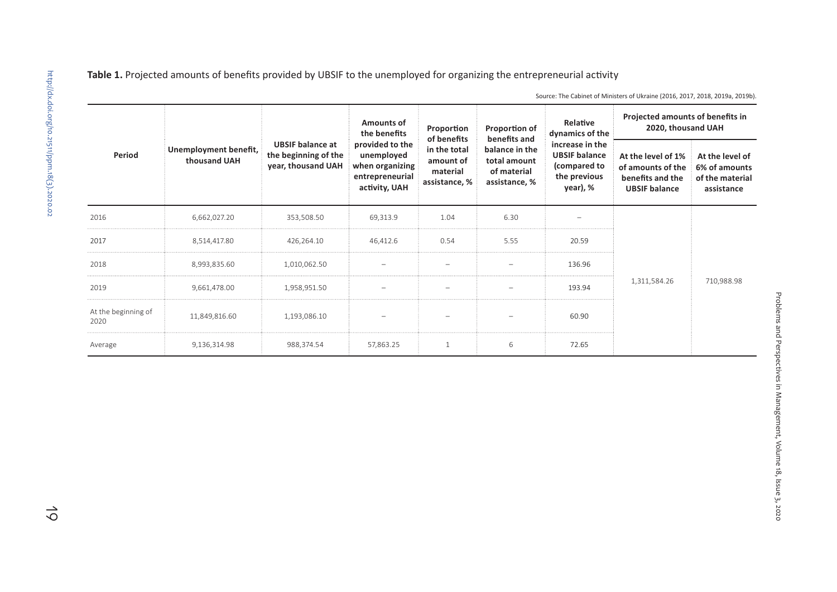| Period                      | Unemployment benefit,<br>thousand UAH | <b>UBSIF balance at</b><br>the beginning of the<br>year, thousand UAH | <b>Amounts of</b><br>the benefits<br>provided to the<br>unemployed<br>when organizing<br>entrepreneurial<br>activity, UAH | Proportion<br>of benefits<br>in the total<br>amount of<br>material<br>assistance, % | Proportion of<br>benefits and<br>balance in the<br>total amount<br>of material<br>assistance, % | Relative<br>dynamics of the<br>increase in the<br><b>UBSIF balance</b><br>(compared to<br>the previous<br>year), % | Projected amounts of benefits in<br>2020, thousand UAH                              |                                                                   |
|-----------------------------|---------------------------------------|-----------------------------------------------------------------------|---------------------------------------------------------------------------------------------------------------------------|-------------------------------------------------------------------------------------|-------------------------------------------------------------------------------------------------|--------------------------------------------------------------------------------------------------------------------|-------------------------------------------------------------------------------------|-------------------------------------------------------------------|
|                             |                                       |                                                                       |                                                                                                                           |                                                                                     |                                                                                                 |                                                                                                                    | At the level of 1%<br>of amounts of the<br>benefits and the<br><b>UBSIF</b> balance | At the level of<br>6% of amounts<br>of the material<br>assistance |
| 2016                        | 6,662,027.20                          | 353,508.50                                                            | 69,313.9                                                                                                                  | 1.04                                                                                | 6.30                                                                                            |                                                                                                                    |                                                                                     |                                                                   |
| 2017                        | 8,514,417.80                          | 426,264.10                                                            | 46.412.6                                                                                                                  | 0.54                                                                                | 5.55                                                                                            | 20.59                                                                                                              |                                                                                     |                                                                   |
| 2018                        | 8,993,835.60                          | 1,010,062.50                                                          |                                                                                                                           |                                                                                     |                                                                                                 | 136.96                                                                                                             |                                                                                     |                                                                   |
| 2019                        | 9,661,478.00                          | 1,958,951.50                                                          |                                                                                                                           |                                                                                     |                                                                                                 | 193.94                                                                                                             | 1,311,584.26                                                                        | 710,988.98                                                        |
| At the beginning of<br>2020 | 11,849,816.60                         | 1,193,086.10                                                          |                                                                                                                           |                                                                                     |                                                                                                 | 60.90                                                                                                              |                                                                                     |                                                                   |
| Average                     | 9,136,314.98                          | 988,374.54                                                            | 57,863.25                                                                                                                 |                                                                                     | 6                                                                                               | 72.65                                                                                                              |                                                                                     |                                                                   |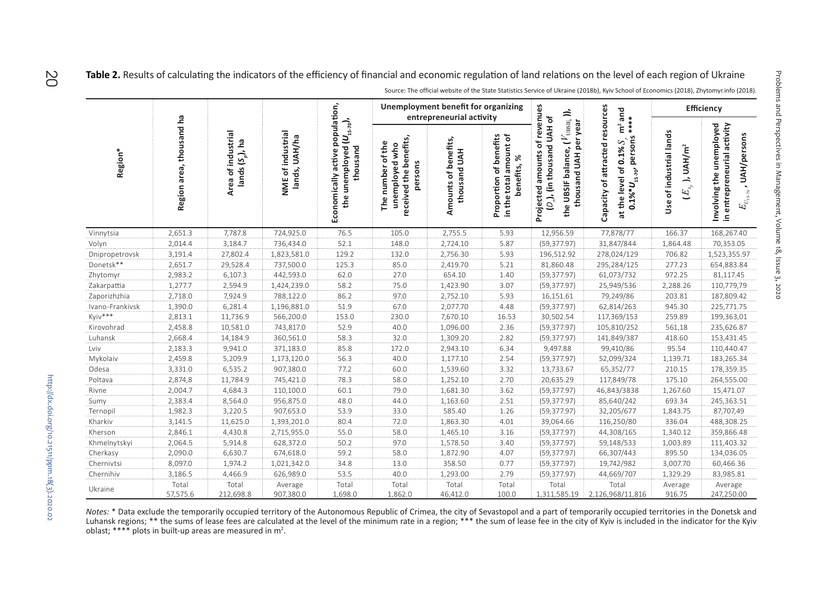Table 2. Results of calculating the indicators of the efficiency of financial and economic regulation of land relations on the level of each region of Ukraine

|                 | Region area, thousand ha | Area of industrial<br>lands $(S_p)$ , ha | NME of industrial<br>lands, UAH/ha | population,<br>the unemployed $(U_{_{15.70}})$ ,<br>thousand<br>Economically active | <b>Unemployment benefit for organizing</b><br>entrepreneurial activity      |                                      |                                                                    |                                                                                                                                     | and                                                                                                                   | Efficiency                                                                           |                                                                                                            |
|-----------------|--------------------------|------------------------------------------|------------------------------------|-------------------------------------------------------------------------------------|-----------------------------------------------------------------------------|--------------------------------------|--------------------------------------------------------------------|-------------------------------------------------------------------------------------------------------------------------------------|-----------------------------------------------------------------------------------------------------------------------|--------------------------------------------------------------------------------------|------------------------------------------------------------------------------------------------------------|
| Region*         |                          |                                          |                                    |                                                                                     | received the benefits,<br>of the<br>unemployed who<br>persons<br>The number | Amounts of benefits,<br>thousand UAH | of benefits<br>in the total amount of<br>benefits, %<br>Proportion | Projected amounts of revenues<br>the UBSIF balance, $(V_{\rm US3F_8}$ )),<br>$(D_n)$ , (in thousand UAH of<br>thousand UAH per year | Capacity of attracted resources<br>****<br>$\overline{m}^2$<br>$0.1\%^*U_{15.70}$ , persons<br>at the level of 0.1% S | Use of industrial lands<br>UAH/m <sup>2</sup><br>$\rightarrow$<br>$E_{\mathbf{s}_p}$ | Involving the unemployed<br>in entrepreneurial activity<br>$E_{_{U_{1 S\cdots\gamma_{0}}} }$ , UAH/persons |
| Vinnytsia       | 2.651.3                  | 7.787.8                                  | 724,925.0                          | 76.5                                                                                | 105.0                                                                       | 2,755.5                              | 5.93                                                               | 12,956.59                                                                                                                           | 77,878/77                                                                                                             | 166.37                                                                               | 168,267.40                                                                                                 |
| Volyn           | 2,014.4                  | 3,184.7                                  | 736,434.0                          | 52.1                                                                                | 148.0                                                                       | 2,724.10                             | 5.87                                                               | (59, 377.97)                                                                                                                        | 31,847/844                                                                                                            | 1,864.48                                                                             | 70,353.05                                                                                                  |
| Dnipropetrovsk  | 3,191.4                  | 27,802.4                                 | 1,823,581.0                        | 129.2                                                                               | 132.0                                                                       | 2,756.30                             | 5.93                                                               | 196,512.92                                                                                                                          | 278,024/129                                                                                                           | 706.82                                                                               | 1,523,355.97                                                                                               |
| Donetsk**       | 2,651.7                  | 29,528.4                                 | 737,500.0                          | 125.3                                                                               | 85.0                                                                        | 2,419.70                             | 5.21                                                               | 81,860.48                                                                                                                           | 295,284/125                                                                                                           | 277.23                                                                               | 654,883.84                                                                                                 |
| Zhytomyr        | 2,983.2                  | 6,107.3                                  | 442,593.0                          | 62.0                                                                                | 27.0                                                                        | 654.10                               | 1.40                                                               | (59, 377.97)                                                                                                                        | 61,073/732                                                                                                            | 972.25                                                                               | 81,117.45                                                                                                  |
| Zakarpattia     | 1,277.7                  | 2,594.9                                  | 1,424,239.0                        | 58.2                                                                                | 75.0                                                                        | 1,423.90                             | 3.07                                                               | (59, 377.97)                                                                                                                        | 25,949/536                                                                                                            | 2,288.26                                                                             | 110,779,79                                                                                                 |
| Zaporizhzhia    | 2,718.0                  | 7,924.9                                  | 788,122.0                          | 86.2                                                                                | 97.0                                                                        | 2,752.10                             | 5.93                                                               | 16,151.61                                                                                                                           | 79,249/86                                                                                                             | 203.81                                                                               | 187,809.42                                                                                                 |
| Ivano-Frankivsk | 1,390.0                  | 6,281.4                                  | 1,196,881.0                        | 51.9                                                                                | 67.0                                                                        | 2,077.70                             | 4.48                                                               | (59, 377.97)                                                                                                                        | 62,814/263                                                                                                            | 945.30                                                                               | 225,771.75                                                                                                 |
| Kyiv***         | 2,813.1                  | 11,736.9                                 | 566,200.0                          | 153.0                                                                               | 230.0                                                                       | 7,670.10                             | 16.53                                                              | 30,502.54                                                                                                                           | 117,369/153                                                                                                           | 259.89                                                                               | 199,363,01                                                                                                 |
| Kirovohrad      | 2,458.8                  | 10,581.0                                 | 743,817.0                          | 52.9                                                                                | 40.0                                                                        | 1,096.00                             | 2.36                                                               | (59, 377.97)                                                                                                                        | 105,810/252                                                                                                           | 561,18                                                                               | 235,626.87                                                                                                 |
| Luhansk         | 2,668.4                  | 14,184.9                                 | 360,561.0                          | 58.3                                                                                | 32.0                                                                        | 1,309.20                             | 2.82                                                               | (59, 377.97)                                                                                                                        | 141,849/387                                                                                                           | 418.60                                                                               | 153,431.45                                                                                                 |
| Lviv            | 2,183.3                  | 9,941.0                                  | 371,183.0                          | 85.8                                                                                | 172.0                                                                       | 2,943.10                             | 6.34                                                               | 9,497.88                                                                                                                            | 99,410/86                                                                                                             | 95.54                                                                                | 110,440.47                                                                                                 |
| Mykolaiv        | 2,459.8                  | 5,209.9                                  | 1,173,120.0                        | 56.3                                                                                | 40.0                                                                        | 1,177.10                             | 2.54                                                               | (59, 377.97)                                                                                                                        | 52,099/324                                                                                                            | 1,139.71                                                                             | 183,265.34                                                                                                 |
| Odesa           | 3,331.0                  | 6,535.2                                  | 907,380.0                          | 77.2                                                                                | 60.0                                                                        | 1,539.60                             | 3.32                                                               | 13,733.67                                                                                                                           | 65,352/77                                                                                                             | 210.15                                                                               | 178,359.35                                                                                                 |
| Poltava         | 2,874,8                  | 11,784.9                                 | 745,421.0                          | 78.3                                                                                | 58.0                                                                        | 1,252.10                             | 2.70                                                               | 20,635.29                                                                                                                           | 117,849/78                                                                                                            | 175.10                                                                               | 264,555.00                                                                                                 |
| Rivne           | 2,004.7                  | 4,684.3                                  | 110,100.0                          | 60.1                                                                                | 79.0                                                                        | 1,681.30                             | 3.62                                                               | (59, 377.97)                                                                                                                        | 46,843/3838                                                                                                           | 1,267.60                                                                             | 15,471.07                                                                                                  |
| Sumy            | 2,383.4                  | 8,564.0                                  | 956,875.0                          | 48.0                                                                                | 44.0                                                                        | 1,163.60                             | 2.51                                                               | (59, 377.97)                                                                                                                        | 85,640/242                                                                                                            | 693.34                                                                               | 245,363.51                                                                                                 |
| Ternopil        | 1,982.3                  | 3,220.5                                  | 907,653.0                          | 53.9                                                                                | 33.0                                                                        | 585.40                               | 1.26                                                               | (59, 377.97)                                                                                                                        | 32,205/677                                                                                                            | 1,843.75                                                                             | 87,707,49                                                                                                  |
| Kharkiv         | 3,141.5                  | 11,625.0                                 | 1,393,201.0                        | 80.4                                                                                | 72.0                                                                        | 1,863.30                             | 4.01                                                               | 39,064.66                                                                                                                           | 116,250/80                                                                                                            | 336.04                                                                               | 488,308.25                                                                                                 |
| Kherson         | 2,846.1                  | 4,430.8                                  | 2,715,955.0                        | 55.0                                                                                | 58.0                                                                        | 1,465.10                             | 3.16                                                               | (59, 377.97)                                                                                                                        | 44,308/165                                                                                                            | 1,340.12                                                                             | 359,866.48                                                                                                 |
| Khmelnytskyi    | 2,064.5                  | 5,914.8                                  | 628,372.0                          | 50.2                                                                                | 97.0                                                                        | 1,578.50                             | 3.40                                                               | (59, 377.97)                                                                                                                        | 59,148/533                                                                                                            | 1,003.89                                                                             | 111,403.32                                                                                                 |
| Cherkasy        | 2,090.0                  | 6,630.7                                  | 674,618.0                          | 59.2                                                                                | 58.0                                                                        | 1,872.90                             | 4.07                                                               | (59, 377.97)                                                                                                                        | 66,307/443                                                                                                            | 895.50                                                                               | 134,036.05                                                                                                 |
| Chernivtsi      | 8,097.0                  | 1,974.2                                  | 1,021,342.0                        | 34.8                                                                                | 13.0                                                                        | 358.50                               | 0.77                                                               | (59, 377.97)                                                                                                                        | 19,742/982                                                                                                            | 3,007.70                                                                             | 60,466.36                                                                                                  |
| Chernihiv       | 3,186.5                  | 4,466.9                                  | 626,989.0                          | 53.5                                                                                | 40.0                                                                        | 1,293.00                             | 2.79                                                               | (59, 377.97)                                                                                                                        | 44,669/707                                                                                                            | 1,329.29                                                                             | 83,985.81                                                                                                  |
| Ukraine         | Total<br>57,575.6        | Total<br>212,698.8                       | Average<br>907,380.0               | Total<br>1,698.0                                                                    | Total<br>1,862.0                                                            | Total<br>46,412.0                    | Total<br>100.0                                                     | Total<br>1,311,585.19                                                                                                               | Total<br>2,126,968/11,816                                                                                             | Average<br>916.75                                                                    | Average<br>247,250.00                                                                                      |

N*otes:* \* Data exclude the temporarily occupied territory of the Autonomous Republic of Crimea, the city of Sevastopol and a part of temporarily occupied territories in the Donetsk and<br>Luhansk regions; \*\* the sums of leas oblast;  $***$  plots in built-up areas are measured in  $m^2$ .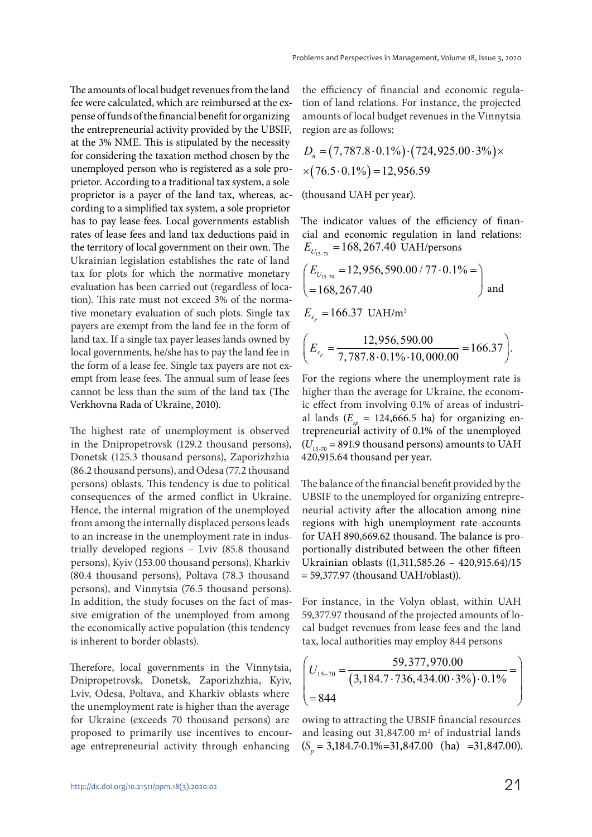The amounts of local budget revenues from the land fee were calculated, which are reimbursed at the expense of funds of the financial benefit for organizing the entrepreneurial activity provided by the UBSIF, at the 3% NME. This is stipulated by the necessity for considering the taxation method chosen by the unemployed person who is registered as a sole proprietor. According to a traditional tax system, a sole proprietor is a payer of the land tax, whereas, according to a simplified tax system, a sole proprietor has to pay lease fees. Local governments establish rates of lease fees and land tax deductions paid in the territory of local government on their own. The Ukrainian legislation establishes the rate of land tax for plots for which the normative monetary evaluation has been carried out (regardless of location). This rate must not exceed 3% of the normative monetary evaluation of such plots. Single tax payers are exempt from the land fee in the form of land tax. If a single tax payer leases lands owned by local governments, he/she has to pay the land fee in the form of a lease fee. Single tax payers are not exempt from lease fees. The annual sum of lease fees cannot be less than the sum of the land tax (The Verkhovna Rada of Ukraine, 2010).

The highest rate of unemployment is observed in the Dnipropetrovsk (129.2 thousand persons), Donetsk (125.3 thousand persons), Zaporizhzhia (86.2 thousand persons), and Odesa (77.2 thousand persons) oblasts. This tendency is due to political consequences of the armed conflict in Ukraine. Hence, the internal migration of the unemployed from among the internally displaced persons leads to an increase in the unemployment rate in industrially developed regions – Lviv (85.8 thousand persons), Kyiv (153.00 thousand persons), Kharkiv (80.4 thousand persons), Poltava (78.3 thousand persons), and Vinnytsia (76.5 thousand persons). In addition, the study focuses on the fact of massive emigration of the unemployed from among the economically active population (this tendency is inherent to border oblasts).

Therefore, local governments in the Vinnytsia, Dnipropetrovsk, Donetsk, Zaporizhzhia, Kyiv, Lviv, Odesa, Poltava, and Kharkiv oblasts where the unemployment rate is higher than the average for Ukraine (exceeds 70 thousand persons) are proposed to primarily use incentives to encourage entrepreneurial activity through enhancing

the efficiency of financial and economic regulation of land relations. For instance, the projected amounts of local budget revenues in the Vinnytsia region are as follows:

$$
D_n = (7, 787.8 \cdot 0.1\%) \cdot (724, 925.00 \cdot 3\%) \times (76.5 \cdot 0.1\%) = 12,956.59
$$

(thousand UAH per year).

The indicator values of the efficiency of financial and economic regulation in land relations:  $E_{U_{15-70}} = 168,267.40$  UAH/persons

$$
\begin{pmatrix}\nE_{U_{15-70}} = 12,956,590.00 / 77 \cdot 0.1\% = \\
= 168,267.40\n\end{pmatrix}
$$
 and  
\n
$$
E_{s_p} = 166.37 \text{ UAH/m}^2
$$
\n
$$
\left(E_{s_p} = \frac{12,956,590.00}{7,787.8 \cdot 0.1\% \cdot 10,000.00} = 166.37\right).
$$

For the regions where the unemployment rate is higher than the average for Ukraine, the economic effect from involving 0.1% of areas of industrial lands ( $E_{sp}$  = 124,666.5 ha) for organizing entrepreneurial activity of 0.1% of the unemployed  $(U_{15,70} = 891.9$  thousand persons) amounts to UAH 420,915.64 thousand per year.

The balance of the financial benefit provided by the UBSIF to the unemployed for organizing entrepreneurial activity after the allocation among nine regions with high unemployment rate accounts for UAH 890,669.62 thousand. The balance is proportionally distributed between the other fifteen Ukrainian oblasts ((1,311,585.26 – 420,915.64)/15 = 59,377.97 (thousand UAH/oblast)).

For instance, in the Volyn oblast, within UAH 59,377.97 thousand of the projected amounts of local budget revenues from lease fees and the land tax, local authorities may employ 844 persons

$$
\left(U_{15-70} = \frac{59,377,970.00}{(3,184.7 \cdot 736,434.00 \cdot 3\%)\cdot 0.1\%} = \right)
$$

owing to attracting the UBSIF financial resources and leasing out  $31,847.00$  m<sup>2</sup> of industrial lands  $(S_p = 3,184.7 \cdot 0.1\% = 31,847.00$  (ha) =31,847.00).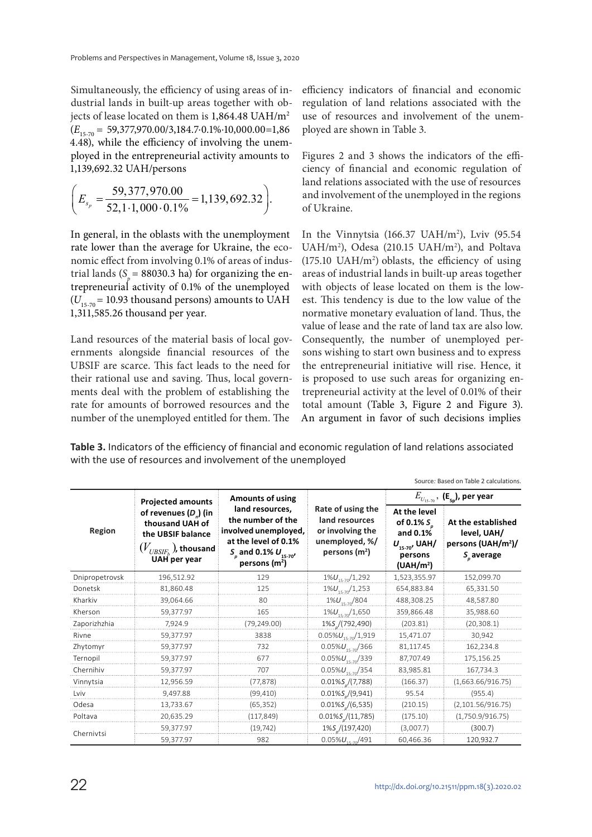Simultaneously, the efficiency of using areas of industrial lands in built-up areas together with objects of lease located on them is 1,864.48 UAH/m<sup>2</sup>  $(E_{15,70} = 59,377,970.00/3,184.7.0.1\% \cdot 10,000.00=1,86$ 4.48), while the efficiency of involving the unemployed in the entrepreneurial activity amounts to 1,139,692.32 UAH/persons

$$
\left(E_{s_p}=\frac{59,377,970.00}{52,1\cdot1,000\cdot0.1\%}=1,139,692.32\right).
$$

In general, in the oblasts with the unemployment rate lower than the average for Ukraine, the economic effect from involving 0.1% of areas of industrial lands (S<sub>p</sub> = 88030.3 ha) for organizing the entrepreneurial activity of 0.1% of the unemployed  $(U_{15,70} = 10.93$  thousand persons) amounts to UAH 1,311,585.26 thousand per year.

Land resources of the material basis of local governments alongside financial resources of the UBSIF are scarce. This fact leads to the need for their rational use and saving. Thus, local governments deal with the problem of establishing the rate for amounts of borrowed resources and the number of the unemployed entitled for them. The

efficiency indicators of financial and economic regulation of land relations associated with the use of resources and involvement of the unemployed are shown in Table 3.

Figures 2 and 3 shows the indicators of the efficiency of financial and economic regulation of land relations associated with the use of resources and involvement of the unemployed in the regions of Ukraine.

In the Vinnytsia (166.37 UAH/m<sup>2</sup>), Lviv (95.54 UAH/m<sup>2</sup>), Odesa (210.15 UAH/m<sup>2</sup>), and Poltava  $(175.10 \text{ UAH/m}^2)$  oblasts, the efficiency of using areas of industrial lands in built-up areas together with objects of lease located on them is the lowest. This tendency is due to the low value of the normative monetary evaluation of land. Thus, the value of lease and the rate of land tax are also low. Consequently, the number of unemployed persons wishing to start own business and to express the entrepreneurial initiative will rise. Hence, it is proposed to use such areas for organizing entrepreneurial activity at the level of 0.01% of their total amount (Table 3, Figure 2 and Figure 3). An argument in favor of such decisions implies

**Table 3.** Indicators of the efficiency of financial and economic regulation of land relations associated with the use of resources and involvement of the unemployed

| <u>JUUILE. DASEU UII TADIE Z LAILUIALIUITS</u> |                                                                                                                                        |                                                                                                                                        |                                                                                             |                                                                                                          |                                                                                        |  |  |  |  |  |
|------------------------------------------------|----------------------------------------------------------------------------------------------------------------------------------------|----------------------------------------------------------------------------------------------------------------------------------------|---------------------------------------------------------------------------------------------|----------------------------------------------------------------------------------------------------------|----------------------------------------------------------------------------------------|--|--|--|--|--|
|                                                | <b>Projected amounts</b>                                                                                                               | <b>Amounts of using</b>                                                                                                                |                                                                                             | $E_{U_{15-70}}$ , (E <sub>sp</sub> ), per year                                                           |                                                                                        |  |  |  |  |  |
| Region                                         | of revenues $(D_n)$ (in<br>thousand UAH of<br>the UBSIF balance<br>$(V_{\rm \scriptscriptstyle UBSIF_{k}}$ ), thousand<br>UAH per year | land resources,<br>the number of the<br>involved unemployed,<br>at the level of 0.1%<br>$S_{D}$ and 0.1% $U_{15-70}$<br>persons $(m2)$ | Rate of using the<br>land resources<br>or involving the<br>unemployed, %/<br>persons $(m2)$ | At the level<br>of 0.1% $S_{.}$<br>and $0.1\%$<br>$U_{15-70}$ , UAH/<br>persons<br>(UAH/m <sup>2</sup> ) | At the established<br>level, UAH/<br>persons (UAH/m <sup>2</sup> )/<br>$S_{n}$ average |  |  |  |  |  |
| Dnipropetrovsk                                 | 196,512.92                                                                                                                             | 129                                                                                                                                    | $1\%U_{15-70}/1,292$                                                                        | 1,523,355.97                                                                                             | 152,099.70                                                                             |  |  |  |  |  |
| Donetsk                                        | 81,860.48                                                                                                                              | 125                                                                                                                                    | $1\%U_{15-70}/1,253$                                                                        | 654,883.84                                                                                               | 65,331.50                                                                              |  |  |  |  |  |
| Kharkiv                                        | 39,064.66                                                                                                                              | 80                                                                                                                                     | $1\%U_{15,70}/804$                                                                          | 488,308.25                                                                                               | 48,587.80                                                                              |  |  |  |  |  |
| Kherson                                        | 59,377.97                                                                                                                              | 165                                                                                                                                    | $1\%U_{15,70}/1,650$                                                                        | 359,866.48                                                                                               | 35,988.60                                                                              |  |  |  |  |  |
| Zaporizhzhia                                   | 7.924.9                                                                                                                                | (79, 249.00)                                                                                                                           | 1%S (792,490)                                                                               | (203.81)                                                                                                 | (20, 308.1)                                                                            |  |  |  |  |  |
| Rivne                                          | 59,377.97                                                                                                                              | 3838                                                                                                                                   | $0.05\%U_{15,70}/1,919$                                                                     | 15,471.07                                                                                                | 30,942                                                                                 |  |  |  |  |  |
| Zhytomyr                                       | 59,377.97                                                                                                                              | 732                                                                                                                                    | $0.05\%U_{15,70}/366$                                                                       | 81,117.45                                                                                                | 162,234.8                                                                              |  |  |  |  |  |
| Ternopil                                       | 59,377.97                                                                                                                              | 677                                                                                                                                    | $0.05\%U_{15,70}/339$                                                                       | 87,707.49                                                                                                | 175,156.25                                                                             |  |  |  |  |  |
| Chernihiv                                      | 59,377.97                                                                                                                              | 707                                                                                                                                    | $0.05\%U_{15,70}/354$                                                                       | 83,985.81                                                                                                | 167,734.3                                                                              |  |  |  |  |  |
| Vinnytsia                                      | 12,956.59                                                                                                                              | (77, 878)                                                                                                                              | $0.01\%S_{n}/(7.788)$                                                                       | (166.37)                                                                                                 | (1,663.66/916.75)                                                                      |  |  |  |  |  |
| I viv                                          | 9,497.88                                                                                                                               | (99, 410)                                                                                                                              | $0.01\%S_{n}/(9.941)$                                                                       | 95.54                                                                                                    | (955.4)                                                                                |  |  |  |  |  |
| Odesa                                          | 13,733.67                                                                                                                              | (65, 352)                                                                                                                              | $0.01\%S_{n}/(6,535)$                                                                       | (210.15)                                                                                                 | (2, 101.56/916.75)                                                                     |  |  |  |  |  |
| Poltava                                        | 20,635.29                                                                                                                              | (117, 849)                                                                                                                             | $0.01\%S_{n}/(11,785)$                                                                      | (175.10)                                                                                                 | (1,750.9/916.75)                                                                       |  |  |  |  |  |
|                                                | 59,377.97                                                                                                                              | (19, 742)                                                                                                                              | 1%S /(197,420)                                                                              | (3,007.7)                                                                                                | (300.7)                                                                                |  |  |  |  |  |
| Chernivtsi                                     | 59,377.97                                                                                                                              | 982                                                                                                                                    | $0.05\%U_{1.7}/491$                                                                         | 60,466.36                                                                                                | 120,932.7                                                                              |  |  |  |  |  |

Source*:* Based on Table 2 calculations.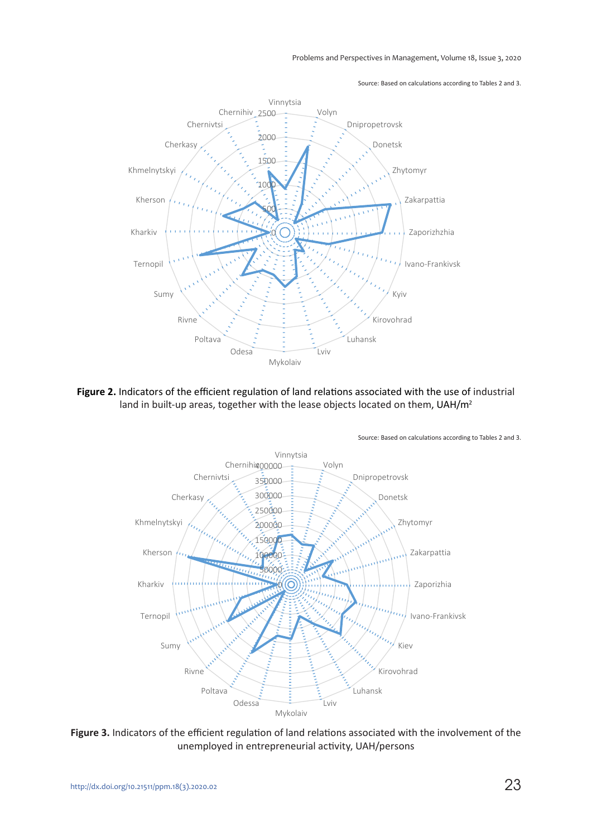Source: Based on calculations according to Tables 2 and 3.



Figure 2. Indicators of the efficient regulation of land relations associated with the use of industrial land in built-up areas, together with the lease objects located on them, UAH/m<sup>2</sup>



**Figure 3.** Indicators of the efficient regulation of land relations associated with the involvement of the unemployed in entrepreneurial activity, UAH/persons

23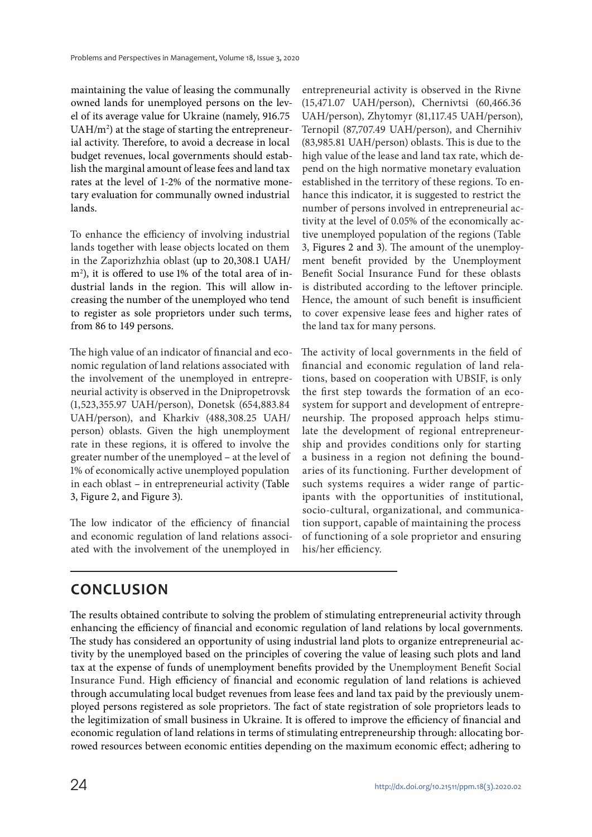maintaining the value of leasing the communally owned lands for unemployed persons on the level of its average value for Ukraine (namely, 916.75 UAH/m<sup>2</sup>) at the stage of starting the entrepreneurial activity. Therefore, to avoid a decrease in local budget revenues, local governments should establish the marginal amount of lease fees and land tax rates at the level of 1-2% of the normative monetary evaluation for communally owned industrial lands.

To enhance the efficiency of involving industrial lands together with lease objects located on them in the Zaporizhzhia oblast (up to 20,308.1 UAH/ m<sup>2</sup> ), it is offered to use 1% of the total area of industrial lands in the region. This will allow increasing the number of the unemployed who tend to register as sole proprietors under such terms, from 86 to 149 persons.

The high value of an indicator of financial and economic regulation of land relations associated with the involvement of the unemployed in entrepreneurial activity is observed in the Dnipropetrovsk (1,523,355.97 UAH/person), Donetsk (654,883.84 UAH/person), and Kharkiv (488,308.25 UAH/ person) oblasts. Given the high unemployment rate in these regions, it is offered to involve the greater number of the unemployed – at the level of 1% of economically active unemployed population in each oblast – in entrepreneurial activity (Table 3, Figure 2, and Figure 3).

The low indicator of the efficiency of financial and economic regulation of land relations associated with the involvement of the unemployed in

entrepreneurial activity is observed in the Rivne (15,471.07 UAH/person), Chernivtsi (60,466.36 UAH/person), Zhytomyr (81,117.45 UAH/person), Ternopil (87,707.49 UAH/person), and Chernihiv (83,985.81 UAH/person) oblasts. This is due to the high value of the lease and land tax rate, which depend on the high normative monetary evaluation established in the territory of these regions. To enhance this indicator, it is suggested to restrict the number of persons involved in entrepreneurial activity at the level of 0.05% of the economically active unemployed population of the regions (Table 3, Figures 2 and 3). The amount of the unemployment benefit provided by the Unemployment Benefit Social Insurance Fund for these oblasts is distributed according to the leftover principle. Hence, the amount of such benefit is insufficient to cover expensive lease fees and higher rates of the land tax for many persons.

The activity of local governments in the field of financial and economic regulation of land relations, based on cooperation with UBSIF, is only the first step towards the formation of an ecosystem for support and development of entrepreneurship. The proposed approach helps stimulate the development of regional entrepreneurship and provides conditions only for starting a business in a region not defining the boundaries of its functioning. Further development of such systems requires a wider range of participants with the opportunities of institutional, socio-cultural, organizational, and communication support, capable of maintaining the process of functioning of a sole proprietor and ensuring his/her efficiency.

## **CONCLUSION**

The results obtained contribute to solving the problem of stimulating entrepreneurial activity through enhancing the efficiency of financial and economic regulation of land relations by local governments. The study has considered an opportunity of using industrial land plots to organize entrepreneurial activity by the unemployed based on the principles of covering the value of leasing such plots and land tax at the expense of funds of unemployment benefits provided by the Unemployment Benefit Social Insurance Fund. High efficiency of financial and economic regulation of land relations is achieved through accumulating local budget revenues from lease fees and land tax paid by the previously unemployed persons registered as sole proprietors. The fact of state registration of sole proprietors leads to the legitimization of small business in Ukraine. It is offered to improve the efficiency of financial and economic regulation of land relations in terms of stimulating entrepreneurship through: allocating borrowed resources between economic entities depending on the maximum economic effect; adhering to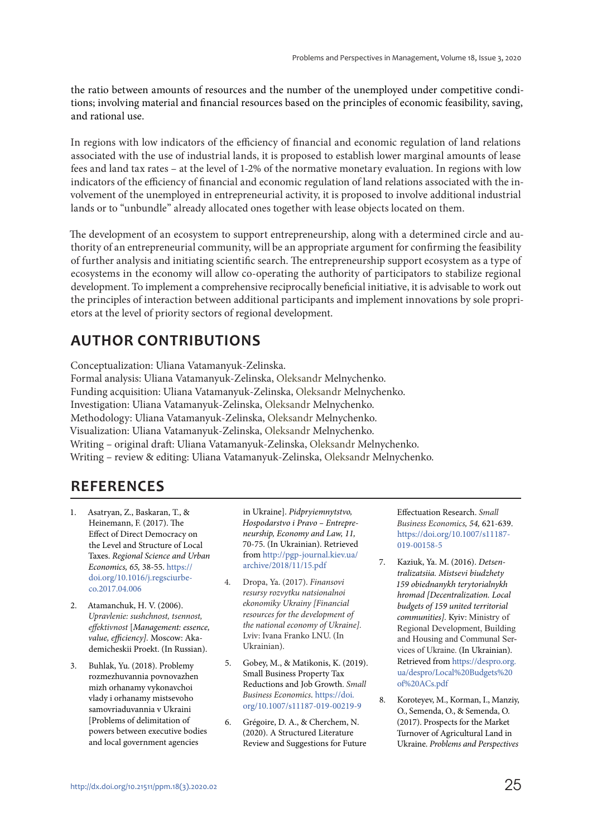the ratio between amounts of resources and the number of the unemployed under competitive conditions; involving material and financial resources based on the principles of economic feasibility, saving, and rational use.

In regions with low indicators of the efficiency of financial and economic regulation of land relations associated with the use of industrial lands, it is proposed to establish lower marginal amounts of lease fees and land tax rates – at the level of 1-2% of the normative monetary evaluation. In regions with low indicators of the efficiency of financial and economic regulation of land relations associated with the involvement of the unemployed in entrepreneurial activity, it is proposed to involve additional industrial lands or to "unbundle" already allocated ones together with lease objects located on them.

The development of an ecosystem to support entrepreneurship, along with a determined circle and authority of an entrepreneurial community, will be an appropriate argument for confirming the feasibility of further analysis and initiating scientific search. The entrepreneurship support ecosystem as a type of ecosystems in the economy will allow co-operating the authority of participators to stabilize regional development. To implement a comprehensive reciprocally beneficial initiative, it is advisable to work out the principles of interaction between additional participants and implement innovations by sole proprietors at the level of priority sectors of regional development.

## **AUTHOR CONTRIBUTIONS**

Conceptualization: Uliana Vatamanyuk-Zelinska. Formal analysis: Uliana Vatamanyuk-Zelinska, Oleksandr Melnychenko. Funding acquisition: Uliana Vatamanyuk-Zelinska, Oleksandr Melnychenko. Investigation: Uliana Vatamanyuk-Zelinska, Oleksandr Melnychenko. Methodology: Uliana Vatamanyuk-Zelinska, Oleksandr Melnychenko. Visualization: Uliana Vatamanyuk-Zelinska, Oleksandr Melnychenko. Writing – original draft: Uliana Vatamanyuk-Zelinska, Oleksandr Melnychenko. Writing – review & editing: Uliana Vatamanyuk-Zelinska, Oleksandr Melnychenko.

### **REFERENCES**

- 1. Asatryan, Z., Baskaran, T., & Heinemann, F. (2017). The Effect of Direct Democracy on the Level and Structure of Local Taxes. Regional Science and Urban Economics, 65, 38-55. https:// doi.org/10.1016/j.regsciurbeco.2017.04.006
- 2. Atamanchuk, H. V. (2006). Upravlenie: sushchnost, tsennost, effektivnost [Management: essence, value, efficiency]. Moscow: Akademicheskii Proekt. (In Russian).
- 3. Buhlak, Yu. (2018). Problemy rozmezhuvannia povnovazhen mizh orhanamy vykonavchoi vlady i orhanamy mistsevoho samovriaduvannia v Ukraini [Problems of delimitation of powers between executive bodies and local government agencies

in Ukraine]. Pidpryiemnytstvo, Hospodarstvo i Pravo – Entrepreneurship, Economy and Law, 11, 70-75. (In Ukrainian). Retrieved from http://pgp-journal.kiev.ua/ archive/2018/11/15.pdf

- 4. Dropa, Ya. (2017). Finansovi resursy rozvytku natsionalnoi ekonomiky Ukrainy [Financial resources for the development of the national economy of Ukraine]. Lviv: Ivana Frankо LNU. (In Ukrainian).
- 5. Gobey, M., & Matikonis, K. (2019). Small Business Property Tax Reductions and Job Growth. Small Business Economics. https://doi. org/10.1007/s11187-019-00219-9
- 6. Grégoire, D. A., & Cherchem, N. (2020). A Structured Literature Review and Suggestions for Future

Effectuation Research. Small Business Economics, 54, 621-639. https://doi.org/10.1007/s11187- 019-00158-5

- 7. Kaziuk, Ya. M. (2016). Detsentralizatsiia. Mistsevi biudzhety 159 obiednanykh terytorialnykh hromad [Decentralization. Local budgets of 159 united territorial communities]. Kyiv: Ministry of Regional Development, Building and Housing and Communal Services of Ukraine. (In Ukrainian). Retrieved from https://despro.org. ua/despro/Local%20Budgets%20 of%20ACs.pdf
- 8. Koroteyev, M., Korman, I., Manziy, O., Semenda, O., & Semenda, O. (2017). Prospects for the Market Turnover of Agricultural Land in Ukraine. Problems and Perspectives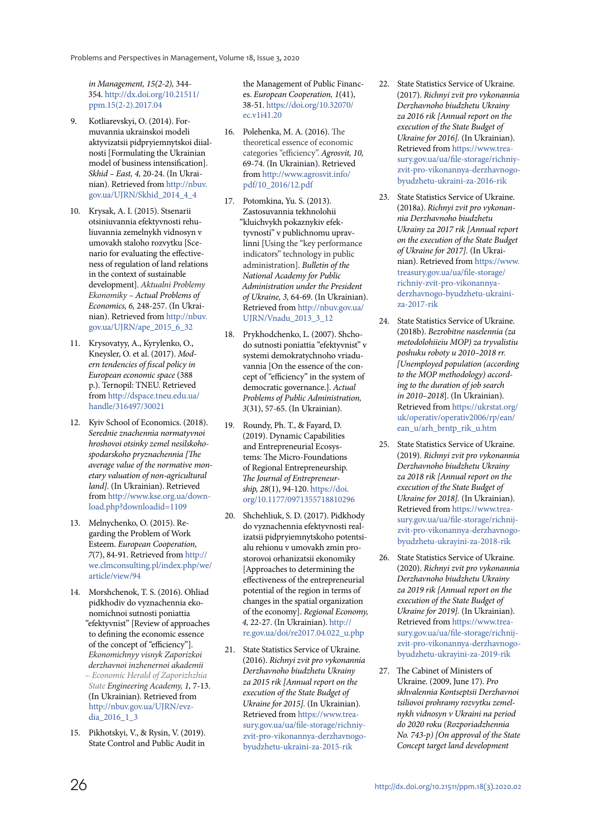in Management, 15(2-2), 344- 354. http://dx.doi.org/10.21511/ ppm.15(2-2).2017.04

- 9. Kotliarevskyi, О. (2014). Formuvannia ukrainskoi modeli aktyvizatsii pidpryiemnytskoi diialnosti [Formulating the Ukrainian model of business intensification]. Skhid – East, 4, 20-24. (In Ukrainian). Retrieved from http://nbuv. gov.ua/UJRN/Skhid\_2014\_4\_4
- 10. Krysak, А. І. (2015). Stsenarii otsiniuvannia efektyvnosti rehuliuvannia zemelnykh vidnosyn v umovakh staloho rozvytku [Scenario for evaluating the effectiveness of regulation of land relations in the context of sustainable development]. Aktualni Problemy Ekonomiky – Actual Problems of Economics, 6, 248-257. (In Ukrainian). Retrieved from http://nbuv. gov.ua/UJRN/ape\_2015\_6\_32
- 11. Krysovatyy, A., Kyrylenko, O., Kneysler, O. et al. (2017). Modern tendencies of fiscal policy in European economic space (388 p.). Ternopil: TNEU. Retrieved from http://dspace.tneu.edu.ua/ handle/316497/30021
- 12. Kyiv School of Economics. (2018). Serednie znachennia normatyvnoi hroshovoi otsinky zemel nesilskohospodarskoho pryznachennia [The average value of the normative monetary valuation of non-agricultural land]. (In Ukrainian). Retrieved from http://www.kse.org.ua/download.php?downloadid=1109
- 13. Melnychenko, O. (2015). Regarding the Problem of Work Esteem. European Cooperation, 7(7), 84-91. Retrieved from http:// we.clmconsulting.pl/index.php/we/ article/view/94
- 14. Morshchenok, Т. S. (2016). Ohliad pidkhodiv do vyznachennia ekonomichnoi sutnosti poniattia "efektyvnist" [Review of approaches to defining the economic essence of the concept of "efficiency"]. Ekonomichnyy visnyk Zaporizkoi derzhavnoi inzhenernoi akademii – Economic Herald of Zaporizhzhia State Engineering Academy, 1, 7-13. (In Ukrainian). Retrieved from http://nbuv.gov.ua/UJRN/evzdia<sup>2016</sup> 1<sup>3</sup>
- 15. Pikhotskyi, V., & Rysin, V. (2019). State Control and Public Audit in

the Management of Public Finances. European Cooperation, 1(41), 38-51. https://doi.org/10.32070/ ec.v1i41.20

- 16. Polehenka, М. А. (2016). The theoretical essence of economic categories "efficiency". Agrosvit, 10, 69-74. (In Ukrainian). Retrieved from http://www.agrosvit.info/ pdf/10\_2016/12.pdf
- 17. Potomkina, Yu. S. (2013). Zastosuvannia tekhnolohii "kluichvykh pokaznykiv efektyvnosti" v publichnomu upravlinni [Using the "key performance indicators" technology in public administration]. Bulletin of the National Academy for Public Administration under the President of Ukraine, 3, 64-69. (In Ukrainian). Retrieved from http://nbuv.gov.ua/ UJRN/Vnadu\_2013\_3\_12
- 18. Prykhodchenko, L. (2007). Shchodo sutnosti poniattia "efektyvnist" v systemi demokratychnoho vriaduvannia [On the essence of the concept of "efficiency" in the system of democratic governance.]. Actual Problems of Public Administration, 3(31), 57-65. (In Ukrainian).
- 19. Roundy, Ph. T., & Fayard, D. (2019). Dynamic Capabilities and Entrepreneurial Ecosystems: The Micro-Foundations of Regional Entrepreneurship. The Journal of Entrepreneurship, 28(1), 94-120. https://doi. org/10.1177/0971355718810296
- 20. Shchehliuk, S. D. (2017). Pidkhody do vyznachennia efektyvnosti realizatsii pidpryiemnytskoho potentsialu rehionu v umovakh zmin prostorovoi orhanizatsii ekonomiky [Approaches to determining the effectiveness of the entrepreneurial potential of the region in terms of changes in the spatial organization of the economy]. Regional Economy, 4, 22-27. (In Ukrainian). http:// re.gov.ua/doi/re2017.04.022\_u.php
- 21. State Statistics Service of Ukraine. (2016). Richnyi zvit pro vykonannia Derzhavnoho biudzhetu Ukrainy za 2015 rik [Annual report on the execution of the State Budget of Ukraine for 2015]. (In Ukrainian). Retrieved from https://www.treasury.gov.ua/ua/file-storage/richniyzvit-pro-vikonannya-derzhavnogobyudzhetu-ukraini-za-2015-rik
- 22. State Statistics Service of Ukraine. (2017). Richnyi zvit pro vykonannia Derzhavnoho biudzhetu Ukrainy za 2016 rik [Annual report on the execution of the State Budget of Ukraine for 2016]. (In Ukrainian). Retrieved from https://www.treasury.gov.ua/ua/file-storage/richniyzvit-pro-vikonannya-derzhavnogobyudzhetu-ukraini-za-2016-rik
- 23. State Statistics Service of Ukraine. (2018a). Richnyi zvit pro vykonannia Derzhavnoho biudzhetu Ukrainy za 2017 rik [Annual report on the execution of the State Budget of Ukraine for 2017]. (In Ukrainian). Retrieved from https://www. treasury.gov.ua/ua/file-storage/ richniy-zvit-pro-vikonannyaderzhavnogo-byudzhetu-ukrainiza-2017-rik
- 24. State Statistics Service of Ukraine. (2018b). Bezrobitne naselennia (za metodolohiieiu MOP) za tryvalistiu poshuku roboty u 2010–2018 rr. [Unemployed population (according to the MOP methodology) according to the duration of job search in 2010–2018]. (In Ukrainian). Retrieved from https://ukrstat.org/ uk/operativ/operativ2006/rp/ean/ ean\_u/arh\_brntp\_rik\_u.htm
- 25. State Statistics Service of Ukraine. (2019). Richnyi zvit pro vykonannia Derzhavnoho biudzhetu Ukrainy za 2018 rik [Annual report on the execution of the State Budget of Ukraine for 2018]. (In Ukrainian). Retrieved from https://www.treasury.gov.ua/ua/file-storage/richnijzvit-pro-vikonannya-derzhavnogobyudzhetu-ukrayini-za-2018-rik
- 26. State Statistics Service of Ukraine. (2020). Richnyi zvit pro vykonannia Derzhavnoho biudzhetu Ukrainy za 2019 rik [Annual report on the execution of the State Budget of Ukraine for 2019]. (In Ukrainian). Retrieved from https://www.treasury.gov.ua/ua/file-storage/richnijzvit-pro-vikonannya-derzhavnogobyudzhetu-ukrayini-za-2019-rik
- 27. The Cabinet of Ministers of Ukraine. (2009, June 17). Pro skhvalennia Kontseptsii Derzhavnoi tsiliovoi prohramy rozvytku zemelnykh vidnosyn v Ukraini na period do 2020 roku (Rozporiadzhennia No. 743-p) [On approval of the State Concept target land development